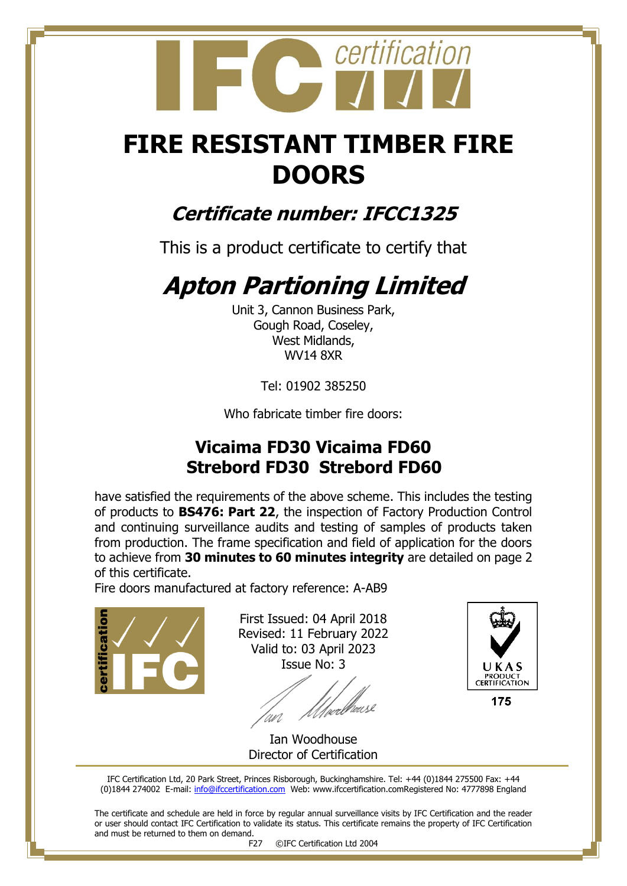# certification

## **FIRE RESISTANT TIMBER FIRE DOORS**

### **Certificate number: IFCC1325**

This is a product certificate to certify that

## **Apton Partioning Limited**

Unit 3, Cannon Business Park, Gough Road, Coseley, West Midlands, WV14 8XR

Tel: 01902 385250

Who fabricate timber fire doors:

#### **Vicaima FD30 Vicaima FD60 Strebord FD30 Strebord FD60**

have satisfied the requirements of the above scheme. This includes the testing of products to **BS476: Part 22**, the inspection of Factory Production Control and continuing surveillance audits and testing of samples of products taken from production. The frame specification and field of application for the doors to achieve from **30 minutes to 60 minutes integrity** are detailed on page 2 of this certificate.

Fire doors manufactured at factory reference: A-AB9

licatio

First Issued: 04 April 2018 Revised: 11 February 2022 Valid to: 03 April 2023 Issue No: 3

*Ulve*rbause 'an



175

Ian Woodhouse Director of Certification

IFC Certification Ltd, 20 Park Street, Princes Risborough, Buckinghamshire. Tel: +44 (0)1844 275500 Fax: +44 (0)1844 274002 E-mail[: info@ifccertification.com](mailto:info@ifccertification.com) Web: www.ifccertification.comRegistered No: 4777898 England

The certificate and schedule are held in force by regular annual surveillance visits by IFC Certification and the reader or user should contact IFC Certification to validate its status. This certificate remains the property of IFC Certification and must be returned to them on demand.